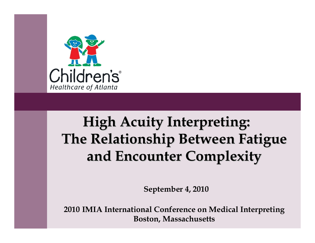

### **High Acuity Interpreting: High Acuity Interpreting: The Relationship Between Fatigue The Relationship Between Fatigue and Encounter Complexity and Encounter Complexity**

**September 4, 2010** 

**2010 IMIA International Conference on Medical Interpreting Boston, Massachusetts**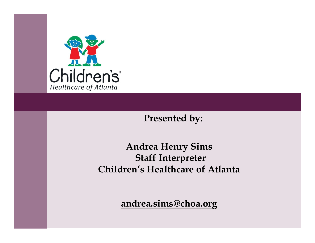

#### **Presented by:**

#### **Andrea Henry Sims Staff Interpreter Children's Healthcare of Atlanta**

**andrea.sims@choa.org**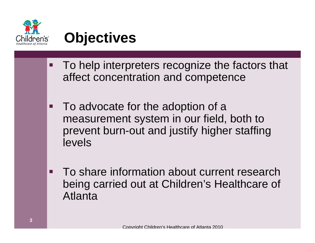

### **Objectives**

- To help interpreters recognize the factors that affect concentration and competence
- **Tale**  To advocate for the adoption of a measurement system in our field, both to prevent burn-out and justify higher staffing levels
- To share information about current research being carried out at Children's Healthcare of Atlanta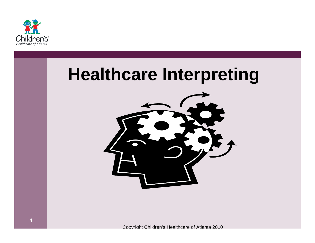

### **Healthcare Interpreting**

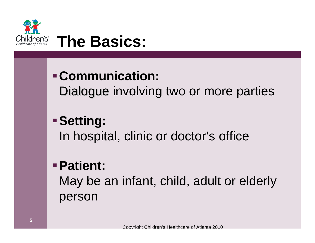

- **Communication:** Dialogue involving two or more parties
	- **Setting:** In hospital, clinic or doctor's office

#### **Patient:**

May be an infant, child, adult or elderly person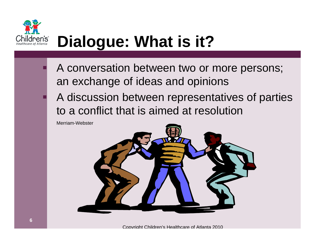

# **Dialogue: What is it?**

- A conversation between two or more persons; an exchange of ideas and opinions
- A discussion between representatives of parties to a conflict that is aimed at resolution

Merriam-Webster

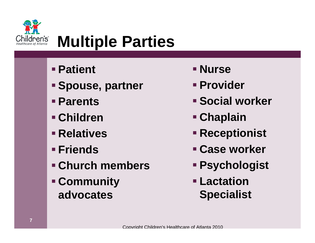

### **Multiple Parties**

- **Patient**
- **Spouse, partner**
- **Parents**
- **Children**
- **Relatives**
- **Friends**
- **Church members**
- **Community advocates**
- **Nurse**
- **Provider**
- **Social worker**
- **Chaplain**
- **Receptionist**
- **Case worker**
- **Psychologist**
- **Lactation Specialist**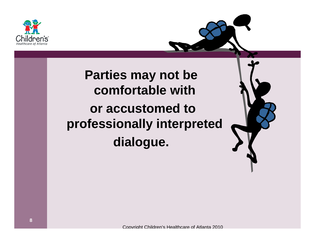

### **Parties may not be comfortable withor accustomed to professionally interpreted dialogue.**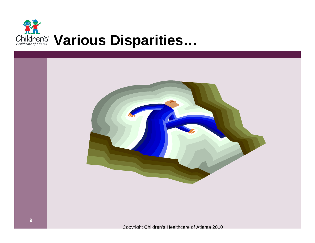

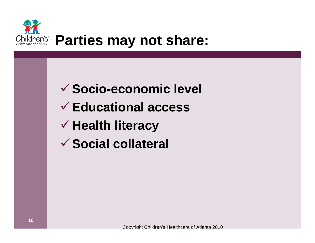

### **Socio-economic level Educational accessHealth literacy Social collateral**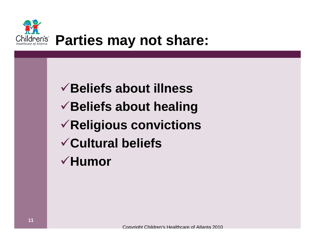

### **Beliefs about illness Beliefs about healing Religious convictions Cultural beliefs Humor**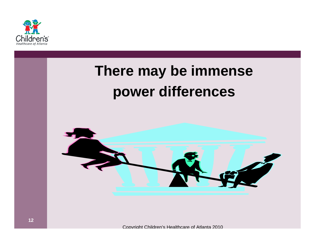

### **There may be immense power differences**

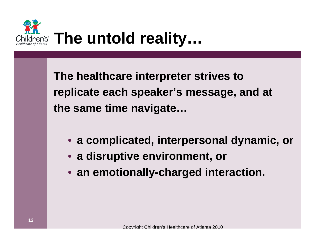

**The healthcare interpreter strives to replicate each speaker's message, and at the same time navigate…**

- **a complicated, interpersonal dynamic, or**
- **a disruptive environment, or**
- **an emotionally-charged interaction.**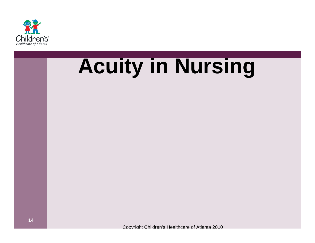

# **Acuity in Nursing**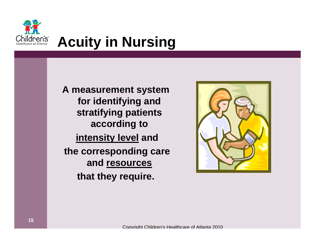

### **Acuity in Nursing**

**A measurement system for identifying and stratifying patients according to intensity level and the corresponding care and resources that they require.**

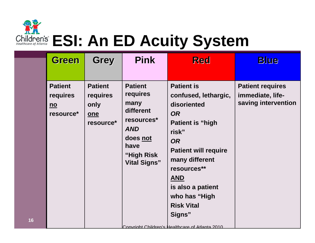

**16**

# **Children's ESI: An ED Acuity System**

| <b>Green</b>                                                         | <b>Grey</b>                                            | <b>Pink</b>                                                                                                                          | <b>Red</b>                                                                                                                                                                                                                                                                                                                   | <b>Blue</b>                                                        |
|----------------------------------------------------------------------|--------------------------------------------------------|--------------------------------------------------------------------------------------------------------------------------------------|------------------------------------------------------------------------------------------------------------------------------------------------------------------------------------------------------------------------------------------------------------------------------------------------------------------------------|--------------------------------------------------------------------|
| <b>Patient</b><br>requires<br>$\underline{\mathsf{no}}$<br>resource* | <b>Patient</b><br>requires<br>only<br>one<br>resource* | <b>Patient</b><br>requires<br>many<br>different<br>resources*<br><b>AND</b><br>does not<br>have<br>"High Risk<br><b>Vital Signs"</b> | <b>Patient is</b><br>confused, lethargic,<br>disoriented<br><b>OR</b><br><b>Patient is "high</b><br>risk"<br><b>OR</b><br><b>Patient will require</b><br>many different<br>resources**<br><b>AND</b><br>is also a patient<br>who has "High<br><b>Risk Vital</b><br>Signs"<br>Convright Children's Healthcare of Atlanta 2010 | <b>Patient requires</b><br>immediate, life-<br>saving intervention |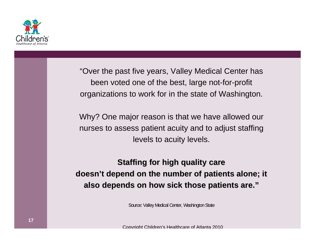

"Over the past five years, Valley Medical Center has been voted one of the best, large not-for-profit organizations to work for in the state of Washington.

Why? One major reason is that we have allowed our nurses to assess patient acuity and to adjust staffing levels to acuity levels.

**Staffing for high quality care** doesn't depend on the number of patients alone; it **also depends on how sick those patients are."** 

Source: Valley Medical Center, Washington State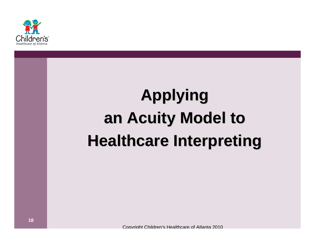

# **Applying Applying an Acuity Model to an Acuity Model to Healthcare Interpreting Healthcare Interpreting**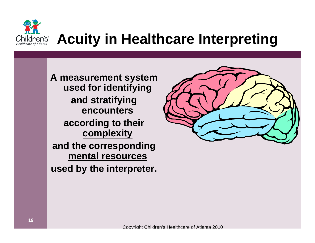

### **Acuity in Healthcare Interpreting**

**A measurement system used for identifying and stratifying encounters according to their complexity and the corresponding mental resources**

**used by the interpreter.**

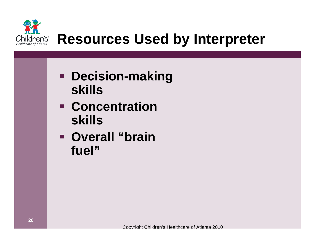

### *Children's Resources Used by Interpreter*

- **Decision-making skills**
- **Concentration skills**
- **Overall "brain fuel"**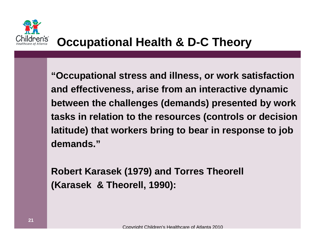

**"Occupational stress and illness, or work satisfaction and effectiveness, arise from an interactive dynamic between the challenges (demands) presented by work tasks in relation to the resources (controls or decision latitude) that workers bring to bear in response to job demands."**

**Robert Karasek (1979) and Torres Theorell (Karasek & Theorell, 1990):**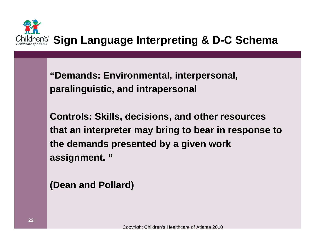

**"Demands: Environmental, interpersonal, Demands: paralinguistic, and intrapersonal**

**Controls: Skills, decisions, and other resources that an interpreter may bring to bear in response to the demands presented by a given work assignment. "**

**(Dean and Pollard)**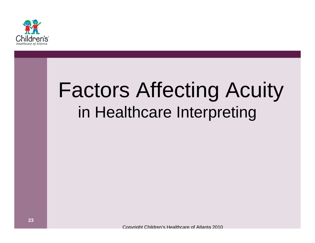

# Factors Affecting Acuity in Healthcare Interpreting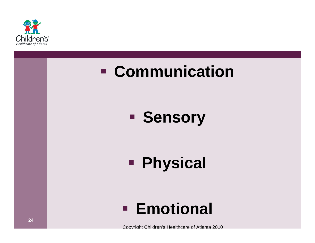

### **Communication**

### **Sensory**

#### **Physical**

### **Emotional**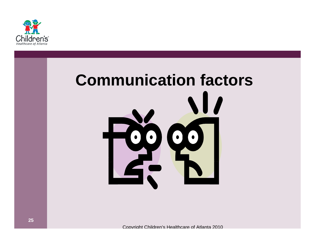

# **Communication factors** $\bullet$  $\bullet$  $\bullet$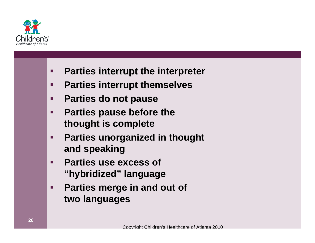

- $\blacksquare$ **Parties interrupt the interpreter**
- $\blacksquare$ **Parties interrupt themselves**
- $\blacksquare$ **Parties do not pause**
- $\blacksquare$  **Parties pause before the thought is complete**
- $\blacksquare$  **Parties unorganized in thought and speaking**
- $\blacksquare$  **Parties use excess of "hybridized" language**
- $\blacksquare$  **Parties merge in and out of two languages**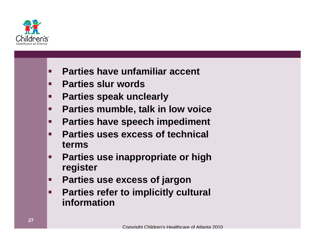

- $\blacksquare$ **Parties have unfamiliar accent**
- $\blacksquare$ **Parties slur words**
- $\blacksquare$ **Parties speak unclearly**
- $\blacksquare$ **Parties mumble, talk in low voice**
- $\blacksquare$ **Parties have speech impediment**
- $\blacksquare$  **Parties uses excess of technical terms**
- $\blacksquare$  **Parties use inappropriate or high register**
- $\blacksquare$ **Parties use excess of jargon**
- $\blacksquare$  **Parties refer to implicitly cultural information**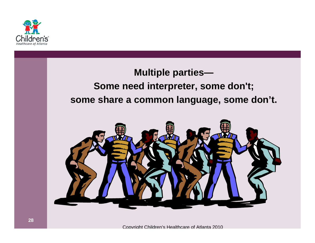

#### **Multiple parties—**

#### **Some need interpreter, some don't; some share a common language, some don't.**

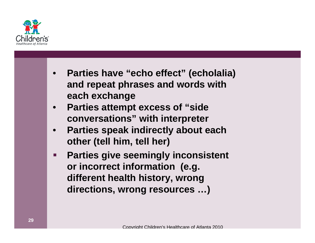

- **Parties have "echo effect" (echolalia) and repeat phrases and words with each exchange**
- **Parties attempt excess of "side conversations" with interpreter**
- **Parties speak indirectly about each other (tell him, tell her)**
- $\blacksquare$  **Parties give seemingly inconsistent or incorrect information (e.g. different health history, wrong directions, wrong resources …)**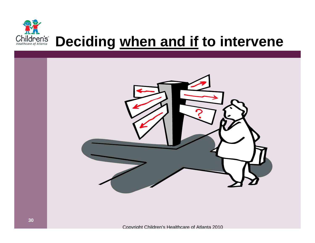

### **Deciding when and if to intervene**

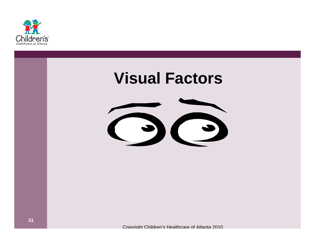

### **Visual Factors**

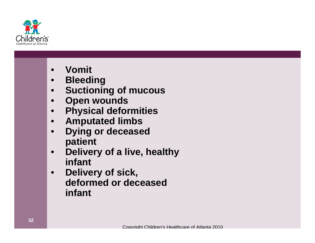

- **Vomit**
- **Bleeding**
- **Suctioning of mucous**
- **Open wounds**
- **Physical deformities**
- **Amputated limbs**
- **Dying or deceased patient**
- **Delivery of a live, healthy infant**
- **Delivery of sick, deformed or deceased infant**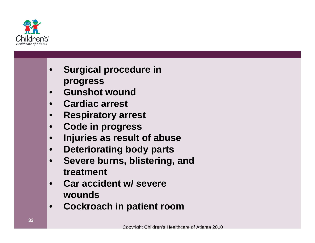

- **Surgical procedure in progress**
- **Gunshot wound**
- **Cardiac arrest**
- **Respiratory arrest**
- **Code in progress**
- **Injuries as result of abuse**
- **Deteriorating body parts**
- **Severe burns, blistering, and treatment**
- **Car accident w/ severe wounds**
- **Cockroach in patient room**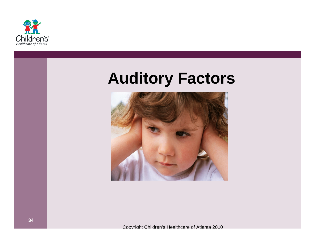

### **Auditory Factors**

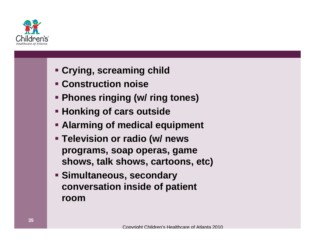

- **Crying, screaming child**
- **Construction noise**
- **Phones ringing (w/ ring tones)**
- **Honking of cars outside**
- **Alarming of medical equipment**
- **Television or radio (w/ news programs, soap operas, game shows, talk shows, cartoons, etc)**
- **Simultaneous, secondary conversation inside of patient room**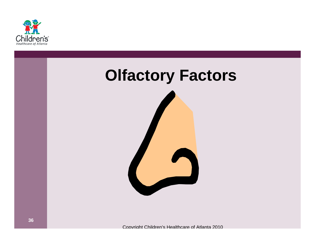

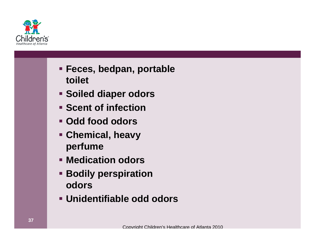

- **Feces, bedpan, portable toilet**
- **Soiled diaper odors**
- **Scent of infection**
- **Odd food odors**
- **Chemical, heavy perfume**
- **Medication odors**
- **Bodily perspiration odors**
- **Unidentifiable odd odors**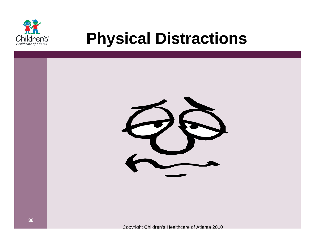

### **Physical Distractions**

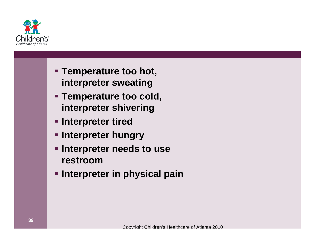

- **Temperature too hot, interpreter sweating**
- **Temperature too cold, interpreter shivering**
- **Example 1 Interpreter tired**
- **Interpreter hungry**
- **Example 1 Interpreter needs to use restroom**
- **Interpreter in physical pain**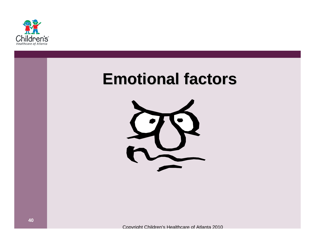

### **Emotional factors Emotional factors**

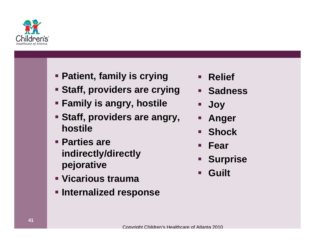

- **Patient, family is crying**
- **Staff, providers are crying**
- **Family is angry, hostile**
- **Staff, providers are angry, hostile**
- **Parties are indirectly/directly pejorative**
- **Vicarious trauma**
- **Internalized response**
- $\blacksquare$ **Relief**
- **Sadness**
- $\blacksquare$ **Joy**
- $\blacksquare$ **Anger**
- $\blacksquare$ **Shock**
- $\blacksquare$ **Fear**
- $\blacksquare$ **Surprise**
- $\blacksquare$ **Guilt**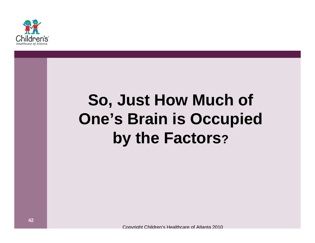

### **So, Just How Much of One's Brain is Occupied by the Factors?**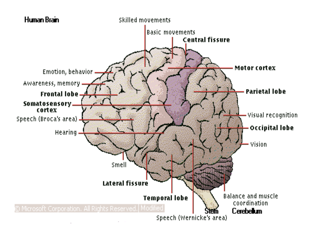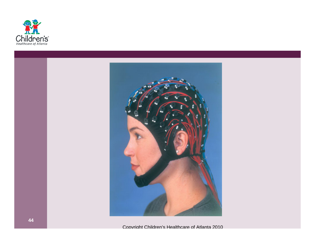

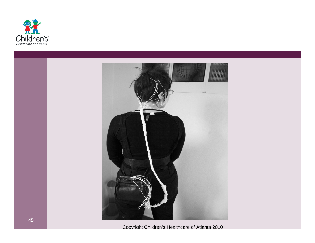



Copyright Children's Healthcare of Atlanta 2010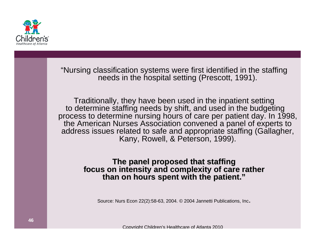

"Nursing classification systems were first identified in the staffing needs in the hospital setting (Prescott, 1991).

Traditionally, they have been used in the inpatient setting to determine staffing needs by shift, and used in the budgeting process to determine nursing hours of care per patient day. In 1998, the American Nurses Association convened a panel of experts to address issues related to safe and appropriate staffing (Gallagher, Kany, Rowell, & Peterson, 1999).

# The panel proposed that staffing<br>focus on intensity and complexity of care rather<br>than on hours spent with the patient."

Source: Nurs Econ 22(2):58-63, 2004. © 2004 Jannetti Publications, Inc .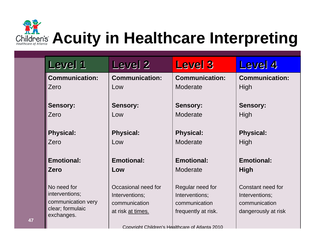Children's **Acuity in Healthcare Interpreting** 

| Level 1                                                                               | Level <sub>2</sub>                                                          | <b>Level 3</b>                                                             | <b>Level 4</b>                                                              |
|---------------------------------------------------------------------------------------|-----------------------------------------------------------------------------|----------------------------------------------------------------------------|-----------------------------------------------------------------------------|
| <b>Communication:</b>                                                                 | <b>Communication:</b>                                                       | <b>Communication:</b>                                                      | <b>Communication:</b>                                                       |
| Zero                                                                                  | Low                                                                         | Moderate                                                                   | High                                                                        |
| <b>Sensory:</b>                                                                       | <b>Sensory:</b>                                                             | <b>Sensory:</b>                                                            | <b>Sensory:</b>                                                             |
| Zero                                                                                  | Low                                                                         | Moderate                                                                   | <b>High</b>                                                                 |
| <b>Physical:</b>                                                                      | <b>Physical:</b>                                                            | <b>Physical:</b>                                                           | <b>Physical:</b>                                                            |
| Zero                                                                                  | Low                                                                         | Moderate                                                                   | High                                                                        |
| <b>Emotional:</b>                                                                     | <b>Emotional:</b>                                                           | <b>Emotional:</b>                                                          | <b>Emotional:</b>                                                           |
| <b>Zero</b>                                                                           | Low                                                                         | Moderate                                                                   | <b>High</b>                                                                 |
| No need for<br>interventions;<br>communication very<br>clear; formulaic<br>exchanges. | Occasional need for<br>Interventions;<br>communication<br>at risk at times. | Regular need for<br>Interventions;<br>communication<br>frequently at risk. | Constant need for<br>Interventions;<br>communication<br>dangerously at risk |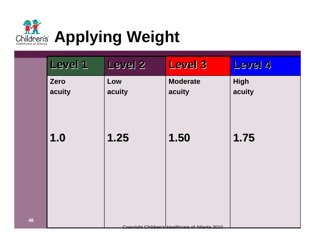

| Level 1        | Level <sub>2</sub> | <b>Level 3</b>                                  | Level 4               |
|----------------|--------------------|-------------------------------------------------|-----------------------|
| Zero<br>acuity | Low<br>acuity      | <b>Moderate</b><br>acuity                       | <b>High</b><br>acuity |
| 1.0            | 1.25               | 1.50                                            | 1.75                  |
|                |                    | Convright Childran's Haalthcare of Atlanta 2010 |                       |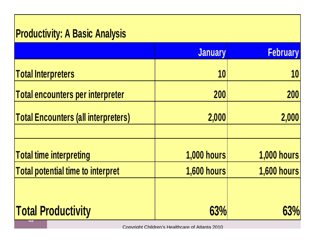#### **Productivity: A Basic Analysis**

|                                            | <b>January</b>     | <b>February</b>    |
|--------------------------------------------|--------------------|--------------------|
| <b>Total Interpreters</b>                  | 10                 | 10                 |
| Total encounters per interpreter           | 200                | 200                |
| <b>Total Encounters (all interpreters)</b> | 2,000              | 2,000              |
| <b>Total time interpreting</b>             | <b>1,000 hours</b> | <b>1,000 hours</b> |
| <b>Total potential time to interpret</b>   | <b>1,600 hours</b> | <b>1,600 hours</b> |
| <b>Total Productivity</b>                  | 63%                | 63%                |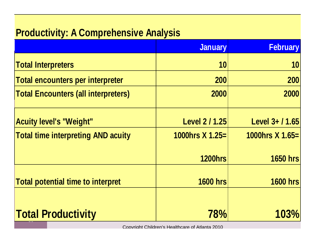#### **Productivity: A Comprehensive Analysis**

|                                            | <b>January</b>        | <b>February</b> |
|--------------------------------------------|-----------------------|-----------------|
| <b>Total Interpreters</b>                  | 10                    | 10              |
| <b>Total encounters per interpreter</b>    | <b>200</b>            | 200             |
| <b>Total Encounters (all interpreters)</b> | 2000                  | 2000            |
| <b>Acuity level's "Weight"</b>             | <b>Level 2 / 1.25</b> | Level 3+ / 1.65 |
| <b>Total time interpreting AND acuity</b>  | 1000hrs $X$ 1.25=     | 1000hrs X 1.65= |
|                                            | <b>1200hrs</b>        | <b>1650 hrs</b> |
| <b>Total potential time to interpret</b>   | <b>1600 hrs</b>       | <b>1600 hrs</b> |
| <b>Total Productivity</b>                  | 78%                   | 103%            |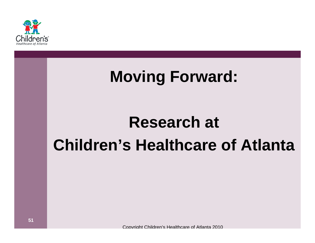

### **Moving Forward:**

### **Research at Children's Healthcare of Atlanta**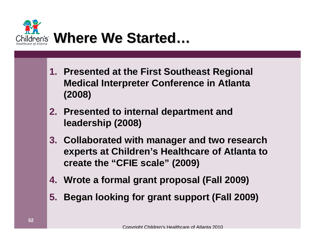

- **1. Presented at the First Southeast Regional Medical Interpreter Conference in Atlanta (2008)**
- **2. Presented to internal department and leadership (2008)**
- **3. Collaborated with manager and two research experts at Children's Healthcare of Atlanta to create the "CFIE scale" (2009)**
- **4. Wrote a formal grant proposal (Fall 2009)**
- **5. Began looking for grant support (Fall 2009)**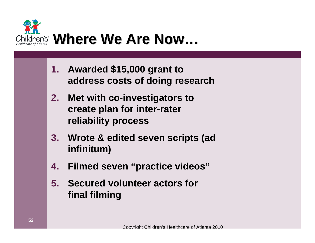

- **1. Awarded \$15,000 grant to address costs of doing research**
- **2. Met with co-investigators to create plan for inter-rater reliability process**
- **3. Wrote & edited seven scripts (ad infinitum)**
- **4. Filmed seven "practice videos"**
- **5. Secured volunteer actors for final filming**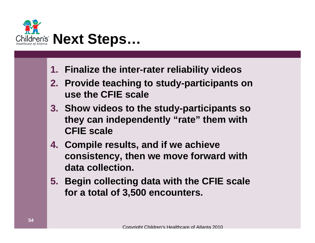

- **1. Finalize the inter-rater reliability videos**
- **2. Provide teaching to study-participants on use the CFIE scale**
- **3. Show videos to the study-participants so they can independently "rate" them with CFIE scale**
- **4. Compile results, and if we achieve consistency, then we move forward with data collection.**
- **5. Begin collecting data with the CFIE scale for a total of 3,500 encounters.**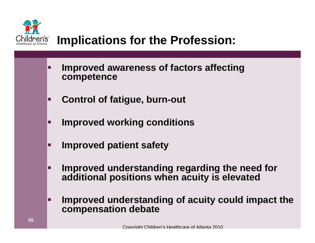

#### **Implications for the Profession:**

- П **Improved awareness of factors affecting competence**
- $\Box$ **Control of fatigue, burn-out**
- П **Improved working conditions**
- $\blacksquare$ **Improved patient safety**
- П **Improved understanding regarding the need for additional positions when acuity is elevated**
- П **Improved understanding of acuity could impact the compensation debate**